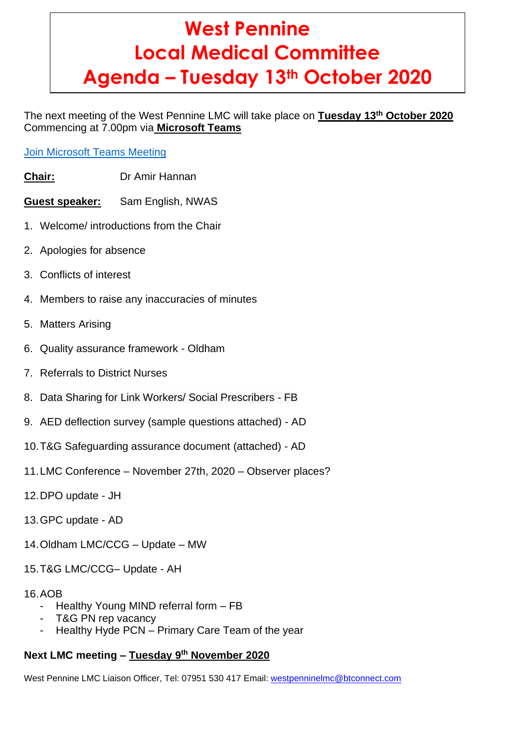# **West Pennine Local Medical Committee Agenda – Tuesday 13th October 2020**

The next meeting of the West Pennine LMC will take place on **Tuesday 13th October 2020** Commencing at 7.00pm via **Microsoft Teams**

## Join [Microsoft](https://teams.microsoft.com/l/meetup-join/19%3ameeting_NTA4NDYwNzctNzBmYS00NDc4LWE2ZWYtZWY2NWJmMzYxZGJj%40thread.v2/0?context=%7b%22Tid%22%3a%2237c354b2-85b0-47f5-b222-07b48d774ee3%22%2c%22Oid%22%3a%2240a3c208-dc29-4e03-b592-7abe2ced1eca%22%7d) Teams Meeting

- **Chair:** Dr Amir Hannan
- **Guest speaker:** Sam English, NWAS
- 1. Welcome/ introductions from the Chair
- 2. Apologies for absence
- 3. Conflicts of interest
- 4. Members to raise any inaccuracies of minutes
- 5. Matters Arising
- 6. Quality assurance framework Oldham
- 7. Referrals to District Nurses
- 8. Data Sharing for Link Workers/ Social Prescribers FB
- 9. AED deflection survey (sample questions attached) AD
- 10.T&G Safeguarding assurance document (attached) AD
- 11.LMC Conference November 27th, 2020 Observer places?
- 12.DPO update JH
- 13.GPC update AD
- 14.Oldham LMC/CCG Update MW
- 15.T&G LMC/CCG– Update AH

### 16.AOB

- Healthy Young MIND referral form FB
- T&G PN rep vacancy
- Healthy Hyde PCN Primary Care Team of the year

## **Next LMC meeting – Tuesday 9 th November 2020**

West Pennine LMC Liaison Officer, Tel: 07951 530 417 Email: [westpenninelmc@btconnect.com](mailto:westpenninelmc@btconnect.com)